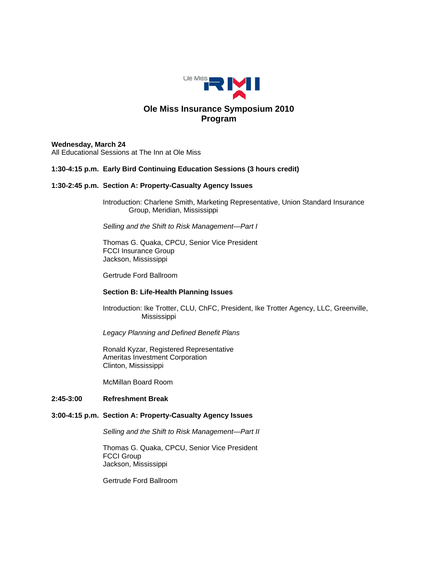

#### **Wednesday, March 24**

All Educational Sessions at The Inn at Ole Miss

# **1:30-4:15 p.m. Early Bird Continuing Education Sessions (3 hours credit)**

# **1:30-2:45 p.m. Section A: Property-Casualty Agency Issues**

Introduction: Charlene Smith, Marketing Representative, Union Standard Insurance Group, Meridian, Mississippi

*Selling and the Shift to Risk Management—Part I* 

 Thomas G. Quaka, CPCU, Senior Vice President FCCI Insurance Group Jackson, Mississippi

Gertrude Ford Ballroom

# **Section B: Life-Health Planning Issues**

 Introduction: Ike Trotter, CLU, ChFC, President, Ike Trotter Agency, LLC, Greenville, Mississippi

*Legacy Planning and Defined Benefit Plans* 

 Ronald Kyzar, Registered Representative Ameritas Investment Corporation Clinton, Mississippi

McMillan Board Room

#### **2:45-3:00 Refreshment Break**

# **3:00-4:15 p.m. Section A: Property-Casualty Agency Issues**

*Selling and the Shift to Risk Management—Part II* 

 Thomas G. Quaka, CPCU, Senior Vice President FCCI Group Jackson, Mississippi

Gertrude Ford Ballroom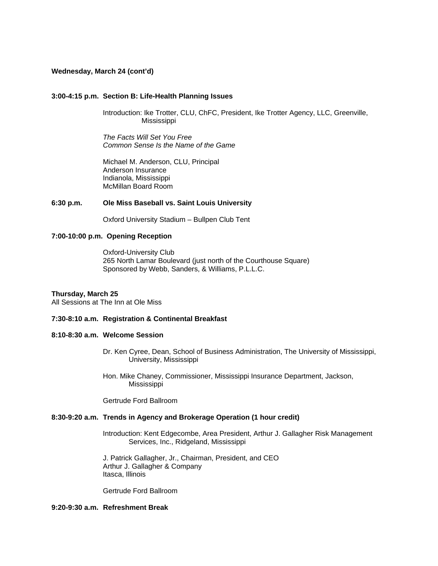#### **Wednesday, March 24 (cont'd)**

#### **3:00-4:15 p.m. Section B: Life-Health Planning Issues**

Introduction: Ike Trotter, CLU, ChFC, President, Ike Trotter Agency, LLC, Greenville, Mississippi

*The Facts Will Set You Free Common Sense Is the Name of the Game* 

Michael M. Anderson, CLU, Principal Anderson Insurance Indianola, Mississippi McMillan Board Room

### **6:30 p.m. Ole Miss Baseball vs. Saint Louis University**

Oxford University Stadium – Bullpen Club Tent

# **7:00-10:00 p.m. Opening Reception**

 Oxford-University Club 265 North Lamar Boulevard (just north of the Courthouse Square) Sponsored by Webb, Sanders, & Williams, P.L.L.C.

#### **Thursday, March 25**

All Sessions at The Inn at Ole Miss

### **7:30-8:10 a.m. Registration & Continental Breakfast**

# **8:10-8:30 a.m. Welcome Session**

- Dr. Ken Cyree, Dean, School of Business Administration, The University of Mississippi, University, Mississippi
- Hon. Mike Chaney, Commissioner, Mississippi Insurance Department, Jackson, Mississippi

Gertrude Ford Ballroom

### **8:30-9:20 a.m. Trends in Agency and Brokerage Operation (1 hour credit)**

 Introduction: Kent Edgecombe, Area President, Arthur J. Gallagher Risk Management Services, Inc., Ridgeland, Mississippi

 J. Patrick Gallagher, Jr., Chairman, President, and CEO Arthur J. Gallagher & Company Itasca, Illinois

Gertrude Ford Ballroom

# **9:20-9:30 a.m. Refreshment Break**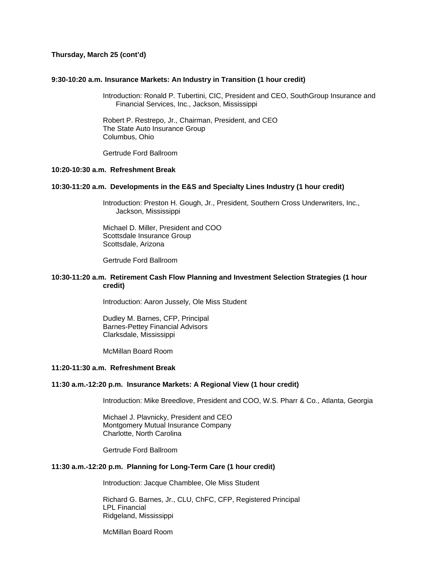# **Thursday, March 25 (cont'd)**

#### **9:30-10:20 a.m. Insurance Markets: An Industry in Transition (1 hour credit)**

Introduction: Ronald P. Tubertini, CIC, President and CEO, SouthGroup Insurance and Financial Services, Inc., Jackson, Mississippi

Robert P. Restrepo, Jr., Chairman, President, and CEO The State Auto Insurance Group Columbus, Ohio

Gertrude Ford Ballroom

# **10:20-10:30 a.m. Refreshment Break**

#### **10:30-11:20 a.m. Developments in the E&S and Specialty Lines Industry (1 hour credit)**

Introduction: Preston H. Gough, Jr., President, Southern Cross Underwriters, Inc., Jackson, Mississippi

Michael D. Miller, President and COO Scottsdale Insurance Group Scottsdale, Arizona

Gertrude Ford Ballroom

#### **10:30-11:20 a.m. Retirement Cash Flow Planning and Investment Selection Strategies (1 hour credit)**

Introduction: Aaron Jussely, Ole Miss Student

 Dudley M. Barnes, CFP, Principal Barnes-Pettey Financial Advisors Clarksdale, Mississippi

McMillan Board Room

#### **11:20-11:30 a.m. Refreshment Break**

#### **11:30 a.m.-12:20 p.m. Insurance Markets: A Regional View (1 hour credit)**

Introduction: Mike Breedlove, President and COO, W.S. Pharr & Co., Atlanta, Georgia

 Michael J. Plavnicky, President and CEO Montgomery Mutual Insurance Company Charlotte, North Carolina

Gertrude Ford Ballroom

#### **11:30 a.m.-12:20 p.m. Planning for Long-Term Care (1 hour credit)**

Introduction: Jacque Chamblee, Ole Miss Student

 Richard G. Barnes, Jr., CLU, ChFC, CFP, Registered Principal LPL Financial Ridgeland, Mississippi

McMillan Board Room